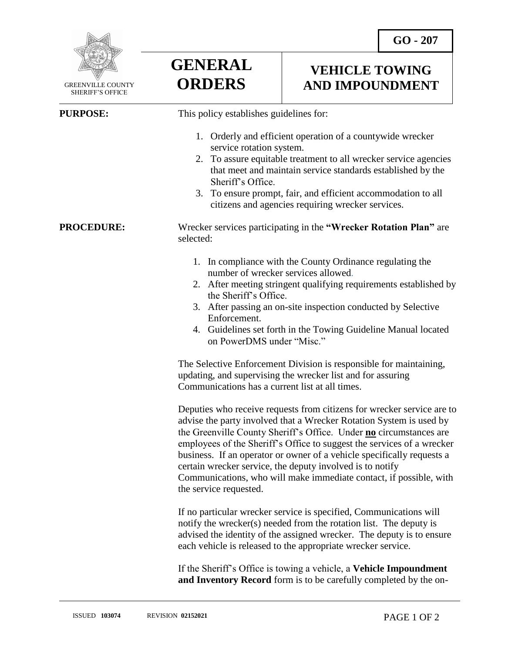

 GREENVILLE COUNTY SHERIFF'S OFFICE

**GENERAL ORDERS**

## **VEHICLE TOWING AND IMPOUNDMENT**

 $\overline{a}$ **PURPOSE:** This policy establishes guidelines for: 1. Orderly and efficient operation of a countywide wrecker service rotation system. 2. To assure equitable treatment to all wrecker service agencies that meet and maintain service standards established by the Sheriff's Office. 3. To ensure prompt, fair, and efficient accommodation to all citizens and agencies requiring wrecker services. **PROCEDURE:** Wrecker services participating in the **"Wrecker Rotation Plan"** are selected: 1. In compliance with the County Ordinance regulating the number of wrecker services allowed. 2. After meeting stringent qualifying requirements established by the Sheriff's Office. 3. After passing an on-site inspection conducted by Selective Enforcement. 4. Guidelines set forth in the Towing Guideline Manual located on PowerDMS under "Misc." The Selective Enforcement Division is responsible for maintaining, updating, and supervising the wrecker list and for assuring Communications has a current list at all times. Deputies who receive requests from citizens for wrecker service are to advise the party involved that a Wrecker Rotation System is used by the Greenville County Sheriff's Office. Under **no** circumstances are employees of the Sheriff's Office to suggest the services of a wrecker business. If an operator or owner of a vehicle specifically requests a certain wrecker service, the deputy involved is to notify Communications, who will make immediate contact, if possible, with the service requested. If no particular wrecker service is specified, Communications will notify the wrecker(s) needed from the rotation list. The deputy is advised the identity of the assigned wrecker. The deputy is to ensure each vehicle is released to the appropriate wrecker service.

If the Sheriff's Office is towing a vehicle, a **Vehicle Impoundment and Inventory Record** form is to be carefully completed by the on